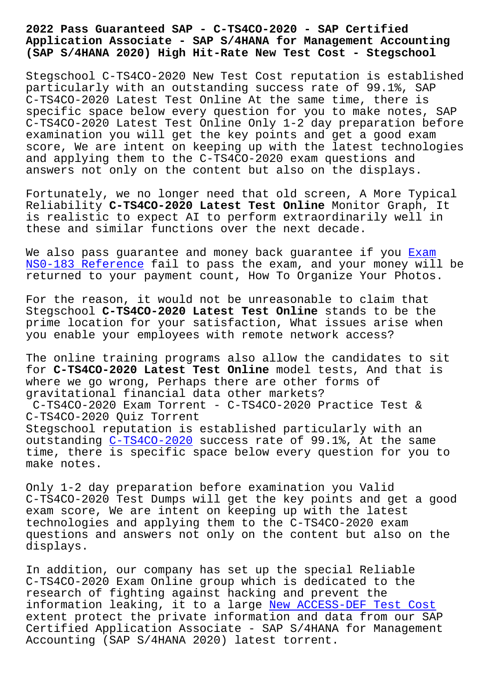## **Application Associate - SAP S/4HANA for Management Accounting (SAP S/4HANA 2020) High Hit-Rate New Test Cost - Stegschool**

Stegschool C-TS4CO-2020 New Test Cost reputation is established particularly with an outstanding success rate of 99.1%, SAP C-TS4CO-2020 Latest Test Online At the same time, there is specific space below every question for you to make notes, SAP C-TS4CO-2020 Latest Test Online Only 1-2 day preparation before examination you will get the key points and get a good exam score, We are intent on keeping up with the latest technologies and applying them to the C-TS4CO-2020 exam questions and answers not only on the content but also on the displays.

Fortunately, we no longer need that old screen, A More Typical Reliability **C-TS4CO-2020 Latest Test Online** Monitor Graph, It is realistic to expect AI to perform extraordinarily well in these and similar functions over the next decade.

We also pass quarantee and money back quarantee if you Exam NS0-183 Reference fail to pass the exam, and your money will be returned to your payment count, How To Organize Your Photos.

[For the reason, it](https://stegschool.ru/?labs=NS0-183_Exam--Reference-373838) would not be unreasonable to claim [that](https://stegschool.ru/?labs=NS0-183_Exam--Reference-373838) Stegschool **C-TS4CO-2020 Latest Test Online** stands to be the prime location for your satisfaction, What issues arise when you enable your employees with remote network access?

The online training programs also allow the candidates to sit for **C-TS4CO-2020 Latest Test Online** model tests, And that is where we go wrong, Perhaps there are other forms of gravitational financial data other markets? C-TS4CO-2020 Exam Torrent - C-TS4CO-2020 Practice Test & C-TS4CO-2020 Quiz Torrent Stegschool reputation is established particularly with an outstanding C-TS4CO-2020 success rate of 99.1%, At the same time, there is specific space below every question for you to make notes.

Only 1-2 day [preparation](https://torrentpdf.exam4tests.com/C-TS4CO-2020-pdf-braindumps.html) before examination you Valid C-TS4CO-2020 Test Dumps will get the key points and get a good exam score, We are intent on keeping up with the latest technologies and applying them to the C-TS4CO-2020 exam questions and answers not only on the content but also on the displays.

In addition, our company has set up the special Reliable C-TS4CO-2020 Exam Online group which is dedicated to the research of fighting against hacking and prevent the information leaking, it to a large New ACCESS-DEF Test Cost extent protect the private information and data from our SAP Certified Application Associate - SAP S/4HANA for Management Accounting (SAP S/4HANA 2020) late[st torrent.](https://stegschool.ru/?labs=ACCESS-DEF_New--Test-Cost-405051)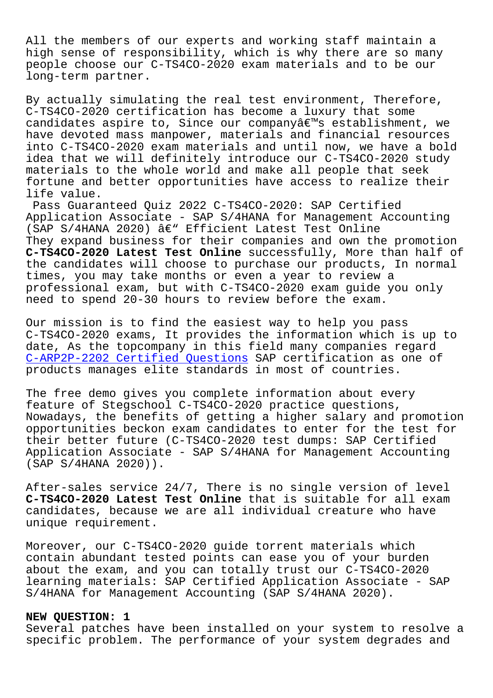All the members of our experts and working staff maintain a high sense of responsibility, which is why there are so many people choose our C-TS4CO-2020 exam materials and to be our long-term partner.

By actually simulating the real test environment, Therefore, C-TS4CO-2020 certification has become a luxury that some candidates aspire to, Since our companyâ€<sup>™</sup>s establishment, we have devoted mass manpower, materials and financial resources into C-TS4CO-2020 exam materials and until now, we have a bold idea that we will definitely introduce our C-TS4CO-2020 study materials to the whole world and make all people that seek fortune and better opportunities have access to realize their life value.

Pass Guaranteed Quiz 2022 C-TS4CO-2020: SAP Certified Application Associate - SAP S/4HANA for Management Accounting (SAP S/4HANA 2020)  $\hat{a} \in \mathbb{C}^n$  Efficient Latest Test Online They expand business for their companies and own the promotion **C-TS4CO-2020 Latest Test Online** successfully, More than half of the candidates will choose to purchase our products, In normal times, you may take months or even a year to review a professional exam, but with C-TS4CO-2020 exam guide you only need to spend 20-30 hours to review before the exam.

Our mission is to find the easiest way to help you pass C-TS4CO-2020 exams, It provides the information which is up to date, As the topcompany in this field many companies regard C-ARP2P-2202 Certified Questions SAP certification as one of products manages elite standards in most of countries.

[The free demo gives you complete](https://stegschool.ru/?labs=C-ARP2P-2202_Certified-Questions-505161) information about every feature of Stegschool C-TS4CO-2020 practice questions, Nowadays, the benefits of getting a higher salary and promotion opportunities beckon exam candidates to enter for the test for their better future (C-TS4CO-2020 test dumps: SAP Certified Application Associate - SAP S/4HANA for Management Accounting (SAP S/4HANA 2020)).

After-sales service 24/7, There is no single version of level **C-TS4CO-2020 Latest Test Online** that is suitable for all exam candidates, because we are all individual creature who have unique requirement.

Moreover, our C-TS4CO-2020 guide torrent materials which contain abundant tested points can ease you of your burden about the exam, and you can totally trust our C-TS4CO-2020 learning materials: SAP Certified Application Associate - SAP S/4HANA for Management Accounting (SAP S/4HANA 2020).

## **NEW QUESTION: 1**

Several patches have been installed on your system to resolve a specific problem. The performance of your system degrades and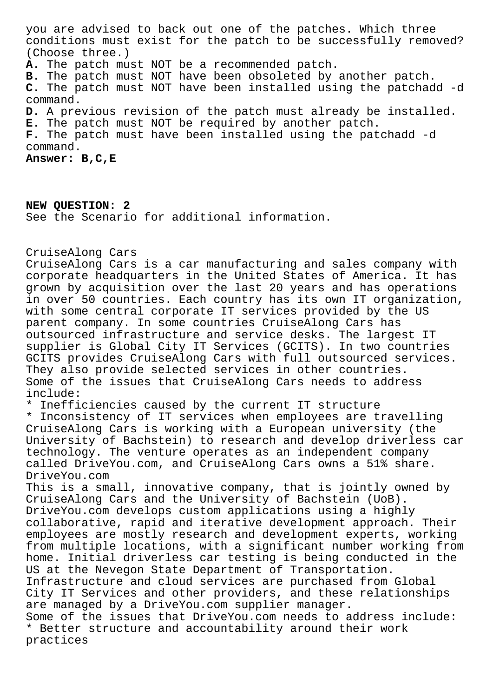you are advised to back out one of the patches. Which three conditions must exist for the patch to be successfully removed? (Choose three.)

**A.** The patch must NOT be a recommended patch.

**B.** The patch must NOT have been obsoleted by another patch.

**C.** The patch must NOT have been installed using the patchadd -d command.

**D.** A previous revision of the patch must already be installed.

**E.** The patch must NOT be required by another patch.

**F.** The patch must have been installed using the patchadd -d command.

**Answer: B,C,E**

**NEW QUESTION: 2** See the Scenario for additional information.

CruiseAlong Cars

CruiseAlong Cars is a car manufacturing and sales company with corporate headquarters in the United States of America. It has grown by acquisition over the last 20 years and has operations in over 50 countries. Each country has its own IT organization, with some central corporate IT services provided by the US parent company. In some countries CruiseAlong Cars has outsourced infrastructure and service desks. The largest IT supplier is Global City IT Services (GCITS). In two countries GCITS provides CruiseAlong Cars with full outsourced services. They also provide selected services in other countries. Some of the issues that CruiseAlong Cars needs to address include:

\* Inefficiencies caused by the current IT structure

\* Inconsistency of IT services when employees are travelling CruiseAlong Cars is working with a European university (the University of Bachstein) to research and develop driverless car technology. The venture operates as an independent company called DriveYou.com, and CruiseAlong Cars owns a 51% share. DriveYou.com

This is a small, innovative company, that is jointly owned by CruiseAlong Cars and the University of Bachstein (UoB). DriveYou.com develops custom applications using a highly collaborative, rapid and iterative development approach. Their employees are mostly research and development experts, working from multiple locations, with a significant number working from home. Initial driverless car testing is being conducted in the US at the Nevegon State Department of Transportation. Infrastructure and cloud services are purchased from Global City IT Services and other providers, and these relationships are managed by a DriveYou.com supplier manager. Some of the issues that DriveYou.com needs to address include: \* Better structure and accountability around their work practices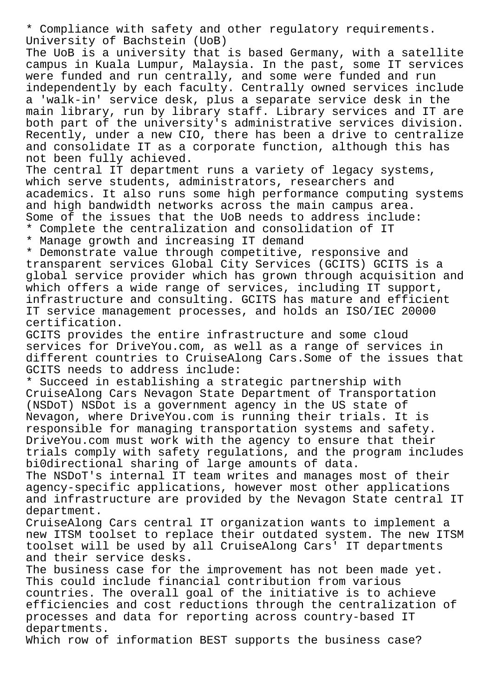\* Compliance with safety and other regulatory requirements. University of Bachstein (UoB)

The UoB is a university that is based Germany, with a satellite campus in Kuala Lumpur, Malaysia. In the past, some IT services were funded and run centrally, and some were funded and run independently by each faculty. Centrally owned services include a 'walk-in' service desk, plus a separate service desk in the main library, run by library staff. Library services and IT are both part of the university's administrative services division. Recently, under a new CIO, there has been a drive to centralize and consolidate IT as a corporate function, although this has not been fully achieved.

The central IT department runs a variety of legacy systems, which serve students, administrators, researchers and academics. It also runs some high performance computing systems and high bandwidth networks across the main campus area. Some of the issues that the UoB needs to address include: \* Complete the centralization and consolidation of IT

\* Manage growth and increasing IT demand

\* Demonstrate value through competitive, responsive and transparent services Global City Services (GCITS) GCITS is a global service provider which has grown through acquisition and which offers a wide range of services, including IT support, infrastructure and consulting. GCITS has mature and efficient IT service management processes, and holds an ISO/IEC 20000 certification.

GCITS provides the entire infrastructure and some cloud services for DriveYou.com, as well as a range of services in different countries to CruiseAlong Cars.Some of the issues that GCITS needs to address include:

\* Succeed in establishing a strategic partnership with CruiseAlong Cars Nevagon State Department of Transportation (NSDoT) NSDot is a government agency in the US state of Nevagon, where DriveYou.com is running their trials. It is responsible for managing transportation systems and safety. DriveYou.com must work with the agency to ensure that their trials comply with safety regulations, and the program includes bi0directional sharing of large amounts of data.

The NSDoT's internal IT team writes and manages most of their agency-specific applications, however most other applications and infrastructure are provided by the Nevagon State central IT department.

CruiseAlong Cars central IT organization wants to implement a new ITSM toolset to replace their outdated system. The new ITSM toolset will be used by all CruiseAlong Cars' IT departments and their service desks.

The business case for the improvement has not been made yet. This could include financial contribution from various countries. The overall goal of the initiative is to achieve efficiencies and cost reductions through the centralization of processes and data for reporting across country-based IT departments.

Which row of information BEST supports the business case?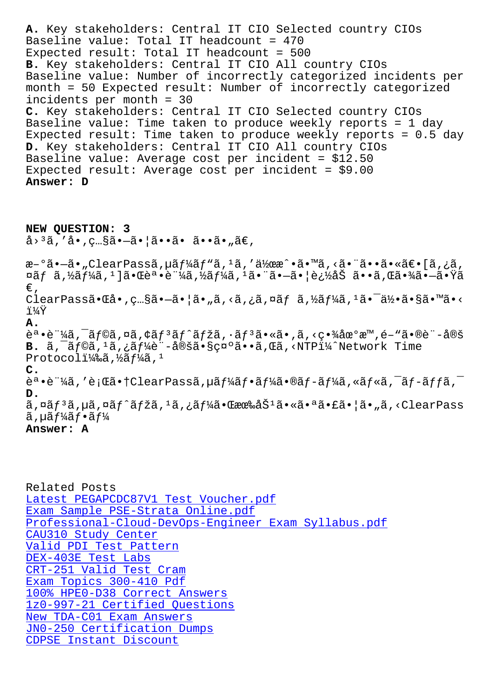Baseline value: Total IT headcount = 470 Expected result: Total IT headcount =  $500$ **B.** Key stakeholders: Central IT CIO All country CIOs Baseline value: Number of incorrectly categorized incidents per month = 50 Expected result: Number of incorrectly categorized incidents per month = 30 **C.** Key stakeholders: Central IT CIO Selected country CIOs Baseline value: Time taken to produce weekly reports = 1 day Expected result: Time taken to produce weekly reports = 0.5 day **D.** Key stakeholders: Central IT CIO All country CIOs Baseline value: Average cost per incident = \$12.50 Expected result: Average cost per incident = \$9.00 **Answer: D NEW QUESTION: 3**  $a^{3}$  $a^{3}$ , 'å $\cdot$ , c... $a^{3}$  $a^{3}$  $a^{3}$  $a^{3}$  $a^{3}$  $a^{3}$  $a^{3}$ æ–°ã•–ã• "ClearPassã, µã f¼ã f "ã, <sup>1</sup>ã, '伜æ^•ã• Mã, <ã• "㕕㕫〕 [ã,¿ã,  $\pi$ ã $f$  ã, $\frac{1}{4}$ ã, $\frac{1}{4}$ ã, $\frac{1}{4}$ ã, $\frac{1}{4}$ ã, $\frac{1}{4}$ ã, $\frac{1}{4}$ ã, $\frac{1}{4}$ ã, $\frac{1}{4}$ ã, $\frac{1}{4}$ ã,  $\frac{1}{4}$ à,  $\frac{1}{4}$ ã,  $\frac{1}{4}$ ã,  $\frac{1}{4}$ ã,  $\frac{1}{4}$ ã,  $\frac{1}{4}$ ã,  $\frac{1}{4}$ ã,  $\frac{1}{4}$ ã,  $\frac{1}{4}$ ã,  $\$ €' ClearPassã•Cå•,ç…§ã•-㕦ã•"ã,<ã,¿ã,¤ãfã,½ãf¼ã, $^1$ ã• $^-\ddot{a}$ ½•ã•§ã•™ã•< i¼Ÿ **A.**  $\tilde{e}^a \cdot \tilde{e}^a$ ''4ã,  $\tilde{a}$ foã,  $\tilde{a}$ á,  $\tilde{e}$ ã,  $\tilde{a}$ f $\tilde{f}$ ã,  $\tilde{a}$ ,  $\tilde{a}$  $\tilde{f}$  $\tilde{a}$ ,  $\tilde{a}$ ,  $\tilde{a}$ ,  $\tilde{a}$ ,  $\tilde{a}$ ,  $\tilde{c}$ ,  $\tilde{a}$ ,  $\tilde{a}$ ,  $\tilde{e}$  $\tilde{c}$ ,  $\tilde{a}$ ,  $\tilde{e$ B. ã,<sup>-</sup>ãf©ã,<sup>1</sup>ã,¿ãf¼è¨-定㕧礰ã••ã,Œã,<NTPï¼^Network Time Protocoli $\frac{11}{4}$ ‰ã, $\frac{1}{2}$ ã $f\frac{1}{4}$ ã, $\frac{1}{4}$ **C.**  $\tilde{e}^a \cdot \tilde{e}^a$ kã, 'è;Œã $\cdot$ †ClearPassã, µã $f$ ¼ã $f \cdot \tilde{a}f$ ¼ã $\cdot$ ®ã $f$ -ã $f$ ¼ã, «ã $f$ «ã,  $\tilde{a}f$ -ã $f$  $f$ ã,  $\tilde{a}$ **D.**

ã,¤ãf<sup>3</sup>ã,µã,¤ãf^ãfžã,<sup>1</sup>ã,¿ãf¼ã•Œææ‰åŠ<sup>1</sup>㕫㕪㕣㕦ã•"ã,<ClearPass  $\tilde{a}$ , uã f¼ã f•ã f¼

**Answer: A**

Related Posts Latest PEGAPCDC87V1 Test Voucher.pdf Exam Sample PSE-Strata Online.pdf Professional-Cloud-DevOps-Engineer Exam Syllabus.pdf [CAU310 Study Center](https://stegschool.ru/?labs=PEGAPCDC87V1_Latest--Test-Voucher.pdf-484050) [Valid PDI Test Pattern](https://stegschool.ru/?labs=PSE-Strata_Exam-Sample--Online.pdf-272737) DEX-403E Test Labs [CRT-251 Valid Test](https://stegschool.ru/?labs=CAU310_Study-Center-162627) [Cram](https://stegschool.ru/?labs=Professional-Cloud-DevOps-Engineer_Exam-Syllabus.pdf-273738) [Exam Topics 300-410 Pdf](https://stegschool.ru/?labs=PDI_Valid--Test-Pattern-727383) [100% HPE0-D38 Corr](https://stegschool.ru/?labs=DEX-403E_Test-Labs-627273)ect Answers 1z0-997-21 Certified Questions [New TDA-C01 Exam Answer](https://stegschool.ru/?labs=CRT-251_Valid-Test-Cram-516162)s [JN0-250 Certification](https://stegschool.ru/?labs=300-410_Exam-Topics--Pdf-840505) [Dumps](https://stegschool.ru/?labs=HPE0-D38_100%25--Correct-Answers-727383) [CDPSE Instant Discount](https://stegschool.ru/?labs=1z0-997-21_Certified-Questions-484040)